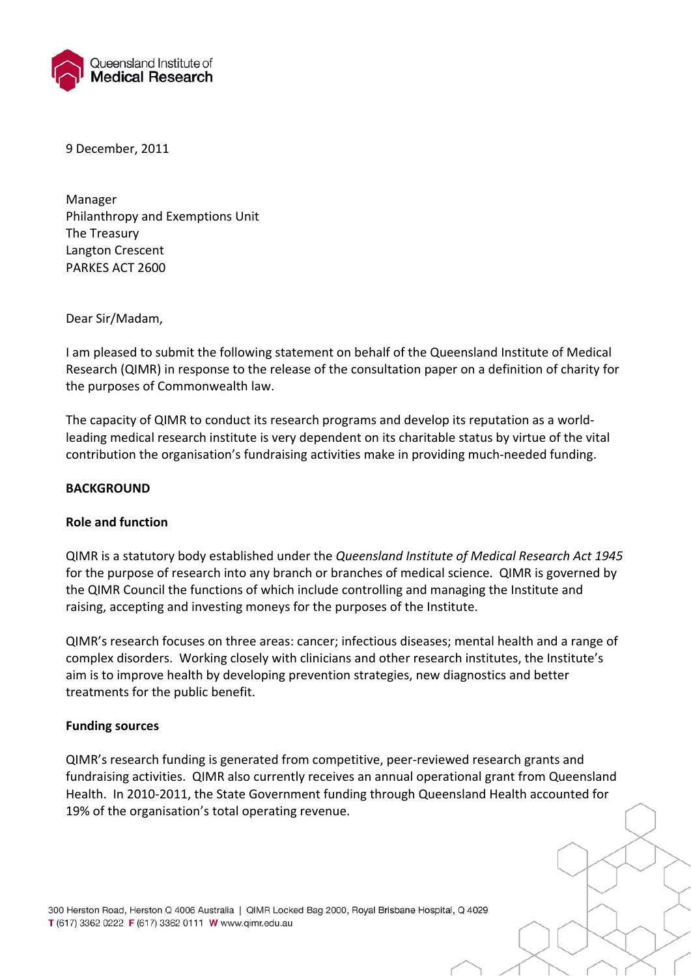

9 December, 2011

 Manager Philanthropy and Exemptions Unit The Treasury Langton Crescent PARKES ACT 2600

Dear Sir/Madam,

 I am pleased to submit the following statement on behalf of the Queensland Institute of Medical Research (QIMR) in response to the release of the consultation paper on a definition of charity for the purposes of Commonwealth law.

 The capacity of QIMR to conduct its research programs and develop its reputation as a world‐ leading medical research institute is very dependent on its charitable status by virtue of the vital contribution the organisation's fundraising activities make in providing much‐needed funding.

#### **BACKGROUND**

# **Role and function**

  QIMR is a statutory body established under the *Queensland Institute of Medical Research Act 1945* for the purpose of research into any branch or branches of medical science. QIMR is governed by the QIMR Council the functions of which include controlling and managing the Institute and raising, accepting and investing moneys for the purposes of the Institute.

 QIMR's research focuses on three areas: cancer; infectious diseases; mental health and a range of complex disorders. Working closely with clinicians and other research institutes, the Institute's aim is to improve health by developing prevention strategies, new diagnostics and better treatments for the public benefit.

## **Funding sources**

 QIMR's research funding is generated from competitive, peer‐reviewed research grants and fundraising activities. QIMR also currently receives an annual operational grant from Queensland Health. In 2010‐2011, the State Government funding through Queensland Health accounted for 19% of the organisation's total operating revenue.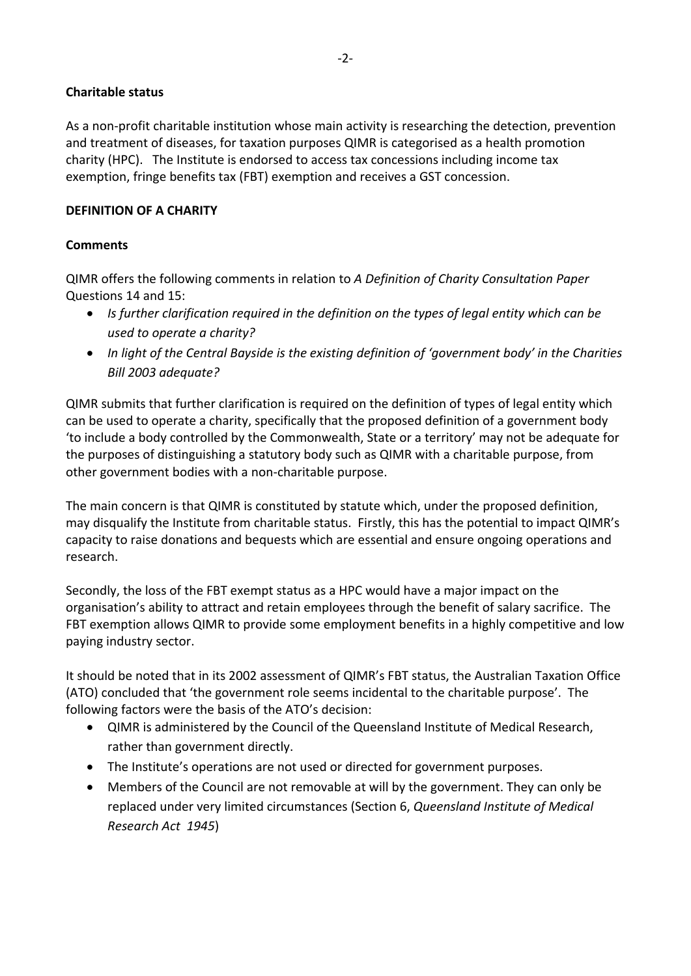# **Charitable status**

 As a non‐profit charitable institution whose main activity is researching the detection, prevention and treatment of diseases, for taxation purposes QIMR is categorised as a health promotion charity (HPC). The Institute is endorsed to access tax concessions including income tax exemption, fringe benefits tax (FBT) exemption and receives a GST concession.

# **DEFINITION OF A CHARITY**

### **Comments**

  QIMR offers the following comments in relation to *A Definition of Charity Consultation Paper* Questions 14 and 15:

- Is further clarification required in the definition on the types of legal entity which can be  *used to operate a charity?*
- In light of the Central Bayside is the existing definition of 'government body' in the Charities  *Bill 2003 adequate?*

 QIMR submits that further clarification is required on the definition of types of legal entity which can be used to operate a charity, specifically that the proposed definition of a government body 'to include a body controlled by the Commonwealth, State or a territory' may not be adequate for the purposes of distinguishing a statutory body such as QIMR with a charitable purpose, from other government bodies with a non‐charitable purpose.

 The main concern is that QIMR is constituted by statute which, under the proposed definition, may disqualify the Institute from charitable status. Firstly, this has the potential to impact QIMR's capacity to raise donations and bequests which are essential and ensure ongoing operations and research.

 Secondly, the loss of the FBT exempt status as a HPC would have a major impact on the organisation's ability to attract and retain employees through the benefit of salary sacrifice. The FBT exemption allows QIMR to provide some employment benefits in a highly competitive and low paying industry sector.

 It should be noted that in its 2002 assessment of QIMR's FBT status, the Australian Taxation Office (ATO) concluded that 'the government role seems incidental to the charitable purpose'. The following factors were the basis of the ATO's decision:

- QIMR is administered by the Council of the Queensland Institute of Medical Research, rather than government directly.
- The Institute's operations are not used or directed for government purposes.
- Members of the Council are not removable at will by the government. They can only be  replaced under very limited circumstances (Section 6, *Queensland Institute of Medical Research Act 1945*)